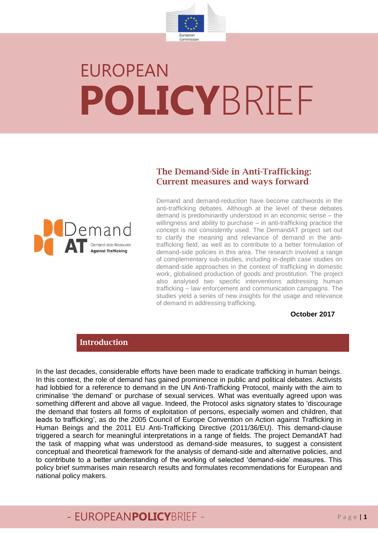

# EUROPEAN **POLICY**BRIEF

#### **The Demand-Side in Anti-Trafficking: Current measures and ways forward**



Demand and demand-reduction have become catchwords in the anti-trafficking debates. Although at the level of these debates demand is predominantly understood in an economic sense – the willingness and ability to purchase – in anti-trafficking practice the concept is not consistently used. The DemandAT project set out to clarify the meaning and relevance of demand in the antitrafficking field, as well as to contribute to a better formulation of demand-side policies in this area. The research involved a range of complementary sub-studies, including in-depth case studies on demand-side approaches in the context of trafficking in domestic work, globalised production of goods and prostitution. The project also analysed two specific interventions addressing human trafficking – law enforcement and communication campaigns. The studies yield a series of new insights for the usage and relevance of demand in addressing trafficking.

#### **October 2017**

#### **Introduction**

In the last decades, considerable efforts have been made to eradicate trafficking in human beings. In this context, the role of demand has gained prominence in public and political debates. Activists had lobbied for a reference to demand in the UN Anti-Trafficking Protocol, mainly with the aim to criminalise 'the demand' or purchase of sexual services. What was eventually agreed upon was something different and above all vague. Indeed, the Protocol asks signatory states to 'discourage the demand that fosters all forms of exploitation of persons, especially women and children, that leads to trafficking', as do the 2005 Council of Europe Convention on Action against Trafficking in Human Beings and the 2011 EU Anti-Trafficking Directive (2011/36/EU). This demand-clause triggered a search for meaningful interpretations in a range of fields. The project DemandAT had the task of mapping what was understood as demand-side measures, to suggest a consistent conceptual and theoretical framework for the analysis of demand-side and alternative policies, and to contribute to a better understanding of the working of selected 'demand-side' measures. This policy brief summarises main research results and formulates recommendations for European and national policy makers.

## - EUROPEANPOLICYBRIEF - Page | 1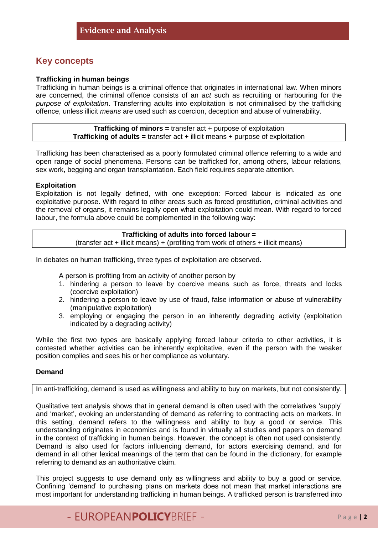#### **Key concepts**

#### **Trafficking in human beings**

Trafficking in human beings is a criminal offence that originates in international law. When minors are concerned, the criminal offence consists of an *act* such as recruiting or harbouring for the *purpose of exploitation*. Transferring adults into exploitation is not criminalised by the trafficking offence, unless illicit *means* are used such as coercion, deception and abuse of vulnerability.

> **Trafficking of minors =** transfer act + purpose of exploitation **Trafficking of adults =** transfer act + illicit means + purpose of exploitation

Trafficking has been characterised as a poorly formulated criminal offence referring to a wide and open range of social phenomena. Persons can be trafficked for, among others, labour relations, sex work, begging and organ transplantation. Each field requires separate attention.

#### **Exploitation**

Exploitation is not legally defined, with one exception: Forced labour is indicated as one exploitative purpose. With regard to other areas such as forced prostitution, criminal activities and the removal of organs, it remains legally open what exploitation could mean. With regard to forced labour, the formula above could be complemented in the following way:

#### **Trafficking of adults into forced labour =**  $($ transfer act + illicit means $)$  + (profiting from work of others + illicit means)

In debates on human trafficking, three types of exploitation are observed.

A person is profiting from an activity of another person by

- 1. hindering a person to leave by coercive means such as force, threats and locks (coercive exploitation)
- 2. hindering a person to leave by use of fraud, false information or abuse of vulnerability (manipulative exploitation)
- 3. employing or engaging the person in an inherently degrading activity (exploitation indicated by a degrading activity)

While the first two types are basically applying forced labour criteria to other activities, it is contested whether activities can be inherently exploitative, even if the person with the weaker position complies and sees his or her compliance as voluntary.

#### **Demand**

#### In anti-trafficking, demand is used as willingness and ability to buy on markets, but not consistently.

Qualitative text analysis shows that in general demand is often used with the correlatives 'supply' and 'market', evoking an understanding of demand as referring to contracting acts on markets. In this setting, demand refers to the willingness and ability to buy a good or service. This understanding originates in economics and is found in virtually all studies and papers on demand in the context of trafficking in human beings. However, the concept is often not used consistently. Demand is also used for factors influencing demand, for actors exercising demand, and for demand in all other lexical meanings of the term that can be found in the dictionary, for example referring to demand as an authoritative claim.

This project suggests to use demand only as willingness and ability to buy a good or service. Confining 'demand' to purchasing plans on markets does not mean that market interactions are most important for understanding trafficking in human beings. A trafficked person is transferred into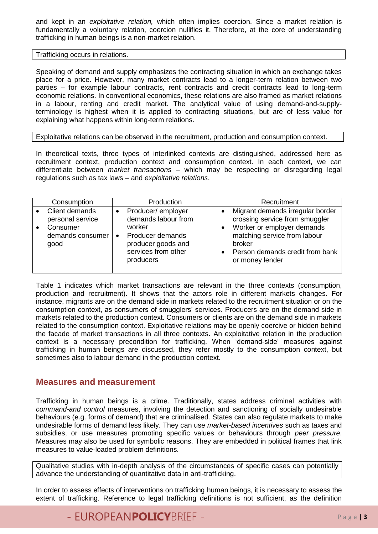and kept in an *exploitative relation,* which often implies coercion. Since a market relation is fundamentally a voluntary relation, coercion nullifies it. Therefore, at the core of understanding trafficking in human beings is a non-market relation.

Trafficking occurs in relations.

Speaking of demand and supply emphasizes the contracting situation in which an exchange takes place for a price. However, many market contracts lead to a longer-term relation between two parties – for example labour contracts, rent contracts and credit contracts lead to long-term economic relations. In conventional economics, these relations are also framed as market relations in a labour, renting and credit market. The analytical value of using demand-and-supplyterminology is highest when it is applied to contracting situations, but are of less value for explaining what happens within long-term relations.

Exploitative relations can be observed in the recruitment, production and consumption context.

In theoretical texts, three types of interlinked contexts are distinguished, addressed here as recruitment context, production context and consumption context. In each context, we can differentiate between *market transactions* – which may be respecting or disregarding legal regulations such as tax laws – and *exploitative relations*.

| Consumption                                                                | Production                                                                                                                                                 | Recruitment                                                                                                                                                                                      |
|----------------------------------------------------------------------------|------------------------------------------------------------------------------------------------------------------------------------------------------------|--------------------------------------------------------------------------------------------------------------------------------------------------------------------------------------------------|
| Client demands<br>personal service<br>Consumer<br>demands consumer<br>good | Producer/employer<br>$\bullet$<br>demands labour from<br>worker<br>Producer demands<br>$\bullet$<br>producer goods and<br>services from other<br>producers | Migrant demands irregular border<br>crossing service from smuggler<br>Worker or employer demands<br>matching service from labour<br>broker<br>Person demands credit from bank<br>or money lender |

Table 1 indicates which market transactions are relevant in the three contexts (consumption, production and recruitment). It shows that the actors role in different markets changes. For instance, migrants are on the demand side in markets related to the recruitment situation or on the consumption context, as consumers of smugglers' services. Producers are on the demand side in markets related to the production context. Consumers or clients are on the demand side in markets related to the consumption context. Exploitative relations may be openly coercive or hidden behind the facade of market transactions in all three contexts. An exploitative relation in the production context is a necessary precondition for trafficking. When 'demand-side' measures against trafficking in human beings are discussed, they refer mostly to the consumption context, but sometimes also to labour demand in the production context.

#### **Measures and measurement**

Trafficking in human beings is a crime. Traditionally, states address criminal activities with *command-and control* measures, involving the detection and sanctioning of socially undesirable behaviours (e.g. forms of demand) that are criminalised. States can also regulate markets to make undesirable forms of demand less likely. They can use *market-based incentives* such as taxes and subsidies, or use measures promoting specific values or behaviours through *peer pressure*. Measures may also be used for symbolic reasons. They are embedded in political frames that link measures to value-loaded problem definitions.

Qualitative studies with in-depth analysis of the circumstances of specific cases can potentially advance the understanding of quantitative data in anti-trafficking.

In order to assess effects of interventions on trafficking human beings, it is necessary to assess the extent of trafficking. Reference to legal trafficking definitions is not sufficient, as the definition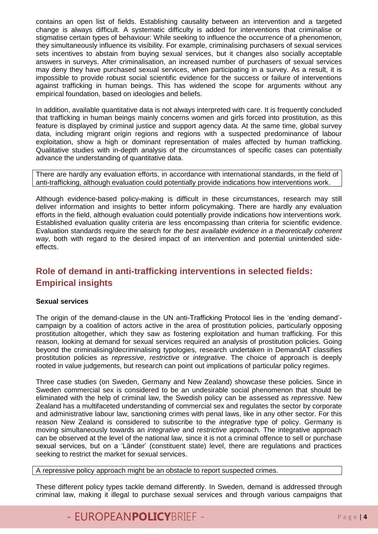contains an open list of fields. Establishing causality between an intervention and a targeted change is always difficult. A systematic difficulty is added for interventions that criminalise or stigmatise certain types of behaviour: While seeking to influence the occurrence of a phenomenon, they simultaneously influence its visibility. For example, criminalising purchasers of sexual services sets incentives to abstain from buying sexual services, but it changes also socially acceptable answers in surveys. After criminalisation, an increased number of purchasers of sexual services may deny they have purchased sexual services, when participating in a survey. As a result, it is impossible to provide robust social scientific evidence for the success or failure of interventions against trafficking in human beings. This has widened the scope for arguments without any empirical foundation, based on ideologies and beliefs.

In addition, available quantitative data is not always interpreted with care. It is frequently concluded that trafficking in human beings mainly concerns women and girls forced into prostitution, as this feature is displayed by criminal justice and support agency data. At the same time, global survey data, including migrant origin regions and regions with a suspected predominance of labour exploitation, show a high or dominant representation of males affected by human trafficking. Qualitative studies with in-depth analysis of the circumstances of specific cases can potentially advance the understanding of quantitative data.

There are hardly any evaluation efforts, in accordance with international standards, in the field of anti-trafficking, although evaluation could potentially provide indications how interventions work.

Although evidence-based policy-making is difficult in these circumstances, research may still deliver information and insights to better inform policymaking. There are hardly any evaluation efforts in the field, although evaluation could potentially provide indications how interventions work. Established evaluation quality criteria are less encompassing than criteria for scientific evidence. Evaluation standards require the search for *the best available evidence in a theoretically coherent way*, both with regard to the desired impact of an intervention and potential unintended sideeffects.

### **Role of demand in anti-trafficking interventions in selected fields: Empirical insights**

#### **Sexual services**

The origin of the demand-clause in the UN anti-Trafficking Protocol lies in the 'ending demand' campaign by a coalition of actors active in the area of prostitution policies, particularly opposing prostitution altogether, which they saw as fostering exploitation and human trafficking. For this reason, looking at demand for sexual services required an analysis of prostitution policies. Going beyond the criminalising/decriminalising typologies, research undertaken in DemandAT classifies prostitution policies as *repressive*, *restrictive* or *integrative*. The choice of approach is deeply rooted in value judgements, but research can point out implications of particular policy regimes.

Three case studies (on Sweden, Germany and New Zealand) showcase these policies. Since in Sweden commercial sex is considered to be an undesirable social phenomenon that should be eliminated with the help of criminal law, the Swedish policy can be assessed as *repressive*. New Zealand has a multifaceted understanding of commercial sex and regulates the sector by corporate and administrative labour law, sanctioning crimes with penal laws, like in any other sector. For this reason New Zealand is considered to subscribe to the *integrative* type of policy. Germany is moving simultaneously towards an *integrative* and *restrictive* approach. The integrative approach can be observed at the level of the national law, since it is not a criminal offence to sell or purchase sexual services, but on a 'Länder' (constituent state) level, there are regulations and practices seeking to restrict the market for sexual services.

A repressive policy approach might be an obstacle to report suspected crimes.

These different policy types tackle demand differently. In Sweden, demand is addressed through criminal law, making it illegal to purchase sexual services and through various campaigns that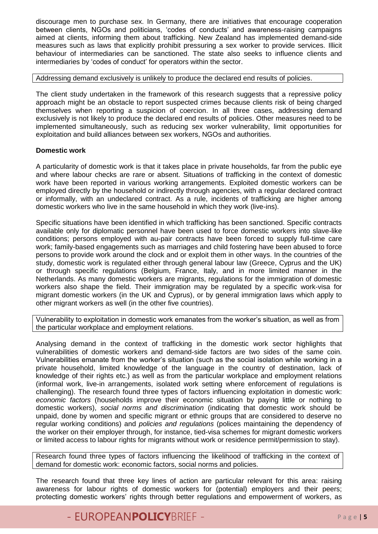discourage men to purchase sex. In Germany, there are initiatives that encourage cooperation between clients, NGOs and politicians, 'codes of conducts' and awareness-raising campaigns aimed at clients, informing them about trafficking. New Zealand has implemented demand-side measures such as laws that explicitly prohibit pressuring a sex worker to provide services. Illicit behaviour of intermediaries can be sanctioned. The state also seeks to influence clients and intermediaries by 'codes of conduct' for operators within the sector.

Addressing demand exclusively is unlikely to produce the declared end results of policies.

The client study undertaken in the framework of this research suggests that a repressive policy approach might be an obstacle to report suspected crimes because clients risk of being charged themselves when reporting a suspicion of coercion. In all three cases, addressing demand exclusively is not likely to produce the declared end results of policies. Other measures need to be implemented simultaneously, such as reducing sex worker vulnerability, limit opportunities for exploitation and build alliances between sex workers, NGOs and authorities.

#### **Domestic work**

A particularity of domestic work is that it takes place in private households, far from the public eye and where labour checks are rare or absent. Situations of trafficking in the context of domestic work have been reported in various working arrangements. Exploited domestic workers can be employed directly by the household or indirectly through agencies, with a regular declared contract or informally, with an undeclared contract. As a rule, incidents of trafficking are higher among domestic workers who live in the same household in which they work (live-ins).

Specific situations have been identified in which trafficking has been sanctioned. Specific contracts available only for diplomatic personnel have been used to force domestic workers into slave-like conditions; persons employed with au-pair contracts have been forced to supply full-time care work; family-based engagements such as marriages and child fostering have been abused to force persons to provide work around the clock and or exploit them in other ways. In the countries of the study, domestic work is regulated either through general labour law (Greece, Cyprus and the UK) or through specific regulations (Belgium, France, Italy, and in more limited manner in the Netherlands. As many domestic workers are migrants, regulations for the immigration of domestic workers also shape the field. Their immigration may be regulated by a specific work-visa for migrant domestic workers (in the UK and Cyprus), or by general immigration laws which apply to other migrant workers as well (in the other five countries).

Vulnerability to exploitation in domestic work emanates from the worker's situation, as well as from the particular workplace and employment relations.

Analysing demand in the context of trafficking in the domestic work sector highlights that vulnerabilities of domestic workers and demand-side factors are two sides of the same coin. Vulnerabilities emanate from the worker's situation (such as the social isolation while working in a private household, limited knowledge of the language in the country of destination, lack of knowledge of their rights etc.) as well as from the particular workplace and employment relations (informal work, live-in arrangements, isolated work setting where enforcement of regulations is challenging). The research found three types of factors influencing exploitation in domestic work: *economic factors* (households improve their economic situation by paying little or nothing to domestic workers), *social norms and discrimination* (indicating that domestic work should be unpaid, done by women and specific migrant or ethnic groups that are considered to deserve no regular working conditions) and *policies and regulations* (polices maintaining the dependency of the worker on their employer through, for instance, tied-visa schemes for migrant domestic workers or limited access to labour rights for migrants without work or residence permit/permission to stay).

Research found three types of factors influencing the likelihood of trafficking in the context of demand for domestic work: economic factors, social norms and policies.

The research found that three key lines of action are particular relevant for this area: raising awareness for labour rights of domestic workers for (potential) employers and their peers; protecting domestic workers' rights through better regulations and empowerment of workers, as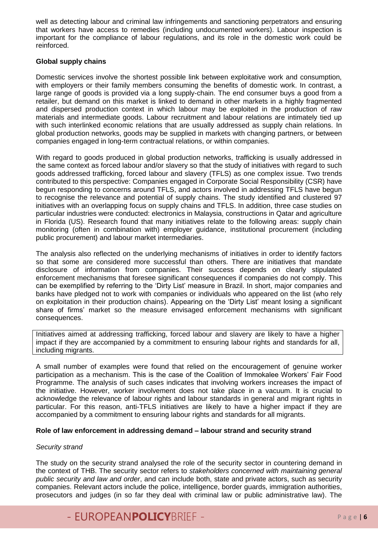well as detecting labour and criminal law infringements and sanctioning perpetrators and ensuring that workers have access to remedies (including undocumented workers). Labour inspection is important for the compliance of labour regulations, and its role in the domestic work could be reinforced.

#### **Global supply chains**

Domestic services involve the shortest possible link between exploitative work and consumption, with employers or their family members consuming the benefits of domestic work. In contrast, a large range of goods is provided via a long supply-chain. The end consumer buys a good from a retailer, but demand on this market is linked to demand in other markets in a highly fragmented and dispersed production context in which labour may be exploited in the production of raw materials and intermediate goods. Labour recruitment and labour relations are intimately tied up with such interlinked economic relations that are usually addressed as supply chain relations. In global production networks, goods may be supplied in markets with changing partners, or between companies engaged in long-term contractual relations, or within companies.

With regard to goods produced in global production networks, trafficking is usually addressed in the same context as forced labour and/or slavery so that the study of initiatives with regard to such goods addressed trafficking, forced labour and slavery (TFLS) as one complex issue. Two trends contributed to this perspective: Companies engaged in Corporate Social Responsibility (CSR) have begun responding to concerns around TFLS, and actors involved in addressing TFLS have begun to recognise the relevance and potential of supply chains. The study identified and clustered 97 initiatives with an overlapping focus on supply chains and TFLS. In addition, three case studies on particular industries were conducted: electronics in Malaysia, constructions in Qatar and agriculture in Florida (US). Research found that many initiatives relate to the following areas: supply chain monitoring (often in combination with) employer guidance, institutional procurement (including public procurement) and labour market intermediaries.

The analysis also reflected on the underlying mechanisms of initiatives in order to identify factors so that some are considered more successful than others. There are initiatives that mandate disclosure of information from companies. Their success depends on clearly stipulated enforcement mechanisms that foresee significant consequences if companies do not comply. This can be exemplified by referring to the 'Dirty List' measure in Brazil. In short, major companies and banks have pledged not to work with companies or individuals who appeared on the list (who rely on exploitation in their production chains). Appearing on the 'Dirty List' meant losing a significant share of firms' market so the measure envisaged enforcement mechanisms with significant consequences.

Initiatives aimed at addressing trafficking, forced labour and slavery are likely to have a higher impact if they are accompanied by a commitment to ensuring labour rights and standards for all, including migrants.

A small number of examples were found that relied on the encouragement of genuine worker participation as a mechanism. This is the case of the Coalition of Immokalee Workers' Fair Food Programme. The analysis of such cases indicates that involving workers increases the impact of the initiative. However, worker involvement does not take place in a vacuum. It is crucial to acknowledge the relevance of labour rights and labour standards in general and migrant rights in particular. For this reason, anti-TFLS initiatives are likely to have a higher impact if they are accompanied by a commitment to ensuring labour rights and standards for all migrants.

#### **Role of law enforcement in addressing demand – labour strand and security strand**

#### *Security strand*

The study on the security strand analysed the role of the security sector in countering demand in the context of THB. The security sector refers to *stakeholders concerned with maintaining general public security and law and order*, and can include both, state and private actors, such as security companies. Relevant actors include the police, intelligence, border guards, immigration authorities, prosecutors and judges (in so far they deal with criminal law or public administrative law). The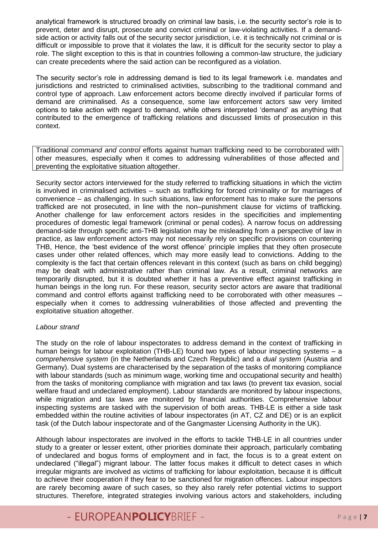analytical framework is structured broadly on criminal law basis, i.e. the security sector's role is to prevent, deter and disrupt, prosecute and convict criminal or law-violating activities. If a demandside action or activity falls out of the security sector jurisdiction, i.e. it is technically not criminal or is difficult or impossible to prove that it violates the law, it is difficult for the security sector to play a role. The slight exception to this is that in countries following a common-law structure, the judiciary can create precedents where the said action can be reconfigured as a violation.

The security sector's role in addressing demand is tied to its legal framework i.e. mandates and jurisdictions and restricted to criminalised activities, subscribing to the traditional command and control type of approach. Law enforcement actors become directly involved if particular forms of demand are criminalised. As a consequence, some law enforcement actors saw very limited options to take action with regard to demand, while others interpreted 'demand' as anything that contributed to the emergence of trafficking relations and discussed limits of prosecution in this context.

Traditional *command and control* efforts against human trafficking need to be corroborated with other measures, especially when it comes to addressing vulnerabilities of those affected and preventing the exploitative situation altogether.

Security sector actors interviewed for the study referred to trafficking situations in which the victim is involved in criminalised activities – such as trafficking for forced criminality or for marriages of convenience – as challenging. In such situations, law enforcement has to make sure the persons trafficked are not prosecuted, in line with the non–punishment clause for victims of trafficking. Another challenge for law enforcement actors resides in the specificities and implementing procedures of domestic legal framework (criminal or penal codes). A narrow focus on addressing demand-side through specific anti-THB legislation may be misleading from a perspective of law in practice, as law enforcement actors may not necessarily rely on specific provisions on countering THB, Hence, the 'best evidence of the worst offence' principle implies that they often prosecute cases under other related offences, which may more easily lead to convictions. Adding to the complexity is the fact that certain offences relevant in this context (such as bans on child begging) may be dealt with administrative rather than criminal law. As a result, criminal networks are temporarily disrupted, but it is doubted whether it has a preventive effect against trafficking in human beings in the long run. For these reason, security sector actors are aware that traditional command and control efforts against trafficking need to be corroborated with other measures – especially when it comes to addressing vulnerabilities of those affected and preventing the exploitative situation altogether.

#### *Labour strand*

The study on the role of labour inspectorates to address demand in the context of trafficking in human beings for labour exploitation (THB-LE) found two types of labour inspecting systems – a *comprehensive system* (in the Netherlands and Czech Republic) and a *dual system* (Austria and Germany). Dual systems are characterised by the separation of the tasks of monitoring compliance with labour standards (such as minimum wage, working time and occupational security and health) from the tasks of monitoring compliance with migration and tax laws (to prevent tax evasion, social welfare fraud and undeclared employment). Labour standards are monitored by labour inspections, while migration and tax laws are monitored by financial authorities. Comprehensive labour inspecting systems are tasked with the supervision of both areas. THB-LE is either a side task embedded within the routine activities of labour inspectorates (in AT, CZ and DE) or is an explicit task (of the Dutch labour inspectorate and of the Gangmaster Licensing Authority in the UK).

Although labour inspectorates are involved in the efforts to tackle THB-LE in all countries under study to a greater or lesser extent, other priorities dominate their approach, particularly combating of undeclared and bogus forms of employment and in fact, the focus is to a great extent on undeclared ("illegal") migrant labour. The latter focus makes it difficult to detect cases in which irregular migrants are involved as victims of trafficking for labour exploitation, because it is difficult to achieve their cooperation if they fear to be sanctioned for migration offences. Labour inspectors are rarely becoming aware of such cases, so they also rarely refer potential victims to support structures. Therefore, integrated strategies involving various actors and stakeholders, including

# - EUROPEANPOLICYBRIEF - Page |**7**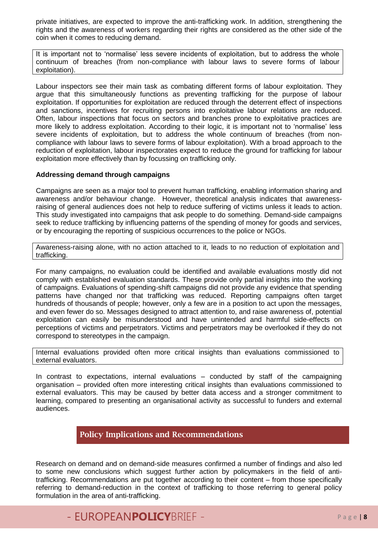private initiatives, are expected to improve the anti-trafficking work. In addition, strengthening the rights and the awareness of workers regarding their rights are considered as the other side of the coin when it comes to reducing demand.

It is important not to 'normalise' less severe incidents of exploitation, but to address the whole continuum of breaches (from non-compliance with labour laws to severe forms of labour exploitation).

Labour inspectors see their main task as combating different forms of labour exploitation. They argue that this simultaneously functions as preventing trafficking for the purpose of labour exploitation. If opportunities for exploitation are reduced through the deterrent effect of inspections and sanctions, incentives for recruiting persons into exploitative labour relations are reduced. Often, labour inspections that focus on sectors and branches prone to exploitative practices are more likely to address exploitation. According to their logic, it is important not to 'normalise' less severe incidents of exploitation, but to address the whole continuum of breaches (from noncompliance with labour laws to severe forms of labour exploitation). With a broad approach to the reduction of exploitation, labour inspectorates expect to reduce the ground for trafficking for labour exploitation more effectively than by focussing on trafficking only.

#### **Addressing demand through campaigns**

Campaigns are seen as a major tool to prevent human trafficking, enabling information sharing and awareness and/or behaviour change. However, theoretical analysis indicates that awarenessraising of general audiences does not help to reduce suffering of victims unless it leads to action. This study investigated into campaigns that ask people to do something. Demand-side campaigns seek to reduce trafficking by influencing patterns of the spending of money for goods and services, or by encouraging the reporting of suspicious occurrences to the police or NGOs.

Awareness-raising alone, with no action attached to it, leads to no reduction of exploitation and trafficking.

For many campaigns, no evaluation could be identified and available evaluations mostly did not comply with established evaluation standards. These provide only partial insights into the working of campaigns. Evaluations of spending-shift campaigns did not provide any evidence that spending patterns have changed nor that trafficking was reduced. Reporting campaigns often target hundreds of thousands of people; however, only a few are in a position to act upon the messages, and even fewer do so. Messages designed to attract attention to, and raise awareness of, potential exploitation can easily be misunderstood and have unintended and harmful side-effects on perceptions of victims and perpetrators. Victims and perpetrators may be overlooked if they do not correspond to stereotypes in the campaign.

Internal evaluations provided often more critical insights than evaluations commissioned to external evaluators.

In contrast to expectations, internal evaluations – conducted by staff of the campaigning organisation – provided often more interesting critical insights than evaluations commissioned to external evaluators. This may be caused by better data access and a stronger commitment to learning, compared to presenting an organisational activity as successful to funders and external audiences.

#### **Policy Implications and Recommendations**

Research on demand and on demand-side measures confirmed a number of findings and also led to some new conclusions which suggest further action by policymakers in the field of antitrafficking. Recommendations are put together according to their content – from those specifically referring to demand-reduction in the context of trafficking to those referring to general policy formulation in the area of anti-trafficking.

# - EUROPEAN**POLICY**BRIEF - P a g e <sup>|</sup>**<sup>8</sup>**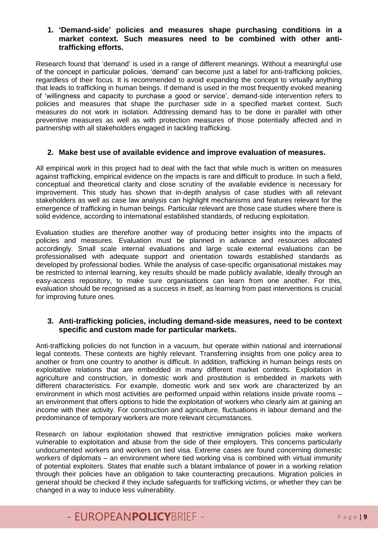#### **1. 'Demand-side' policies and measures shape purchasing conditions in a market context. Such measures need to be combined with other antitrafficking efforts.**

Research found that 'demand' is used in a range of different meanings. Without a meaningful use of the concept in particular policies, 'demand' can become just a label for anti-trafficking policies, regardless of their focus. It is recommended to avoid expanding the concept to virtually anything that leads to trafficking in human beings. If demand is used in the most frequently evoked meaning of 'willingness and capacity to purchase a good or service', demand-side intervention refers to policies and measures that shape the purchaser side in a specified market context. Such measures do not work in isolation. Addressing demand has to be done in parallel with other preventive measures as well as with protection measures of those potentially affected and in partnership with all stakeholders engaged in tackling trafficking.

#### **2. Make best use of available evidence and improve evaluation of measures.**

All empirical work in this project had to deal with the fact that while much is written on measures against trafficking, empirical evidence on the impacts is rare and difficult to produce. In such a field, conceptual and theoretical clarity and close scrutiny of the available evidence is necessary for improvement. This study has shown that in-depth analysis of case studies with all relevant stakeholders as well as case law analysis can highlight mechanisms and features relevant for the emergence of trafficking in human beings. Particular relevant are those case studies where there is solid evidence, according to international established standards, of reducing exploitation.

Evaluation studies are therefore another way of producing better insights into the impacts of policies and measures. Evaluation must be planned in advance and resources allocated accordingly. Small scale internal evaluations and large scale external evaluations can be professionalised with adequate support and orientation towards established standards as developed by professional bodies. While the analysis of case-specific organisational mistakes may be restricted to internal learning, key results should be made publicly available, ideally through an easy-access repository, to make sure organisations can learn from one another. For this, evaluation should be recognised as a success in itself, as learning from past interventions is crucial for improving future ones.

#### **3. Anti-trafficking policies, including demand-side measures, need to be context specific and custom made for particular markets.**

Anti-trafficking policies do not function in a vacuum, but operate within national and international legal contexts. These contexts are highly relevant. Transferring insights from one policy area to another or from one country to another is difficult. In addition, trafficking in human beings rests on exploitative relations that are embedded in many different market contexts. Exploitation in agriculture and construction, in domestic work and prostitution is embedded in markets with different characteristics. For example, domestic work and sex work are characterized by an environment in which most activities are performed unpaid within relations inside private rooms – an environment that offers options to hide the exploitation of workers who clearly aim at gaining an income with their activity. For construction and agriculture, fluctuations in labour demand and the predominance of temporary workers are more relevant circumstances.

Research on labour exploitation showed that restrictive immigration policies make workers vulnerable to exploitation and abuse from the side of their employers. This concerns particularly undocumented workers and workers on tied visa. Extreme cases are found concerning domestic workers of diplomats – an environment where tied working visa is combined with virtual immunity of potential exploiters. States that enable such a blatant imbalance of power in a working relation through their policies have an obligation to take counteracting precautions. Migration policies in general should be checked if they include safeguards for trafficking victims, or whether they can be changed in a way to induce less vulnerability.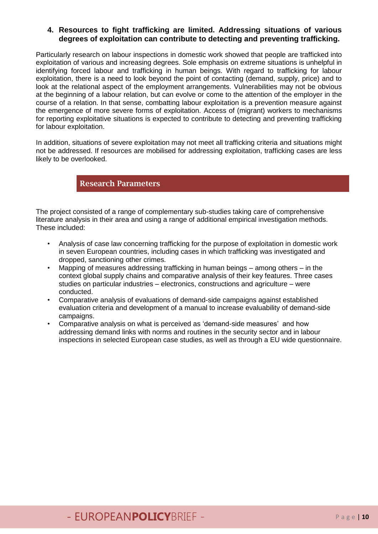#### **4. Resources to fight trafficking are limited. Addressing situations of various degrees of exploitation can contribute to detecting and preventing trafficking.**

Particularly research on labour inspections in domestic work showed that people are trafficked into exploitation of various and increasing degrees. Sole emphasis on extreme situations is unhelpful in identifying forced labour and trafficking in human beings. With regard to trafficking for labour exploitation, there is a need to look beyond the point of contacting (demand, supply, price) and to look at the relational aspect of the employment arrangements. Vulnerabilities may not be obvious at the beginning of a labour relation, but can evolve or come to the attention of the employer in the course of a relation. In that sense, combatting labour exploitation is a prevention measure against the emergence of more severe forms of exploitation. Access of (migrant) workers to mechanisms for reporting exploitative situations is expected to contribute to detecting and preventing trafficking for labour exploitation.

In addition, situations of severe exploitation may not meet all trafficking criteria and situations might not be addressed. If resources are mobilised for addressing exploitation, trafficking cases are less likely to be overlooked.

**Research Parameters**

The project consisted of a range of complementary sub-studies taking care of comprehensive literature analysis in their area and using a range of additional empirical investigation methods. These included:

- Analysis of case law concerning trafficking for the purpose of exploitation in domestic work in seven European countries, including cases in which trafficking was investigated and dropped, sanctioning other crimes.
- Mapping of measures addressing trafficking in human beings among others in the context global supply chains and comparative analysis of their key features. Three cases studies on particular industries – electronics, constructions and agriculture – were conducted.
- Comparative analysis of evaluations of demand-side campaigns against established evaluation criteria and development of a manual to increase evaluability of demand-side campaigns.
- Comparative analysis on what is perceived as 'demand-side measures' and how addressing demand links with norms and routines in the security sector and in labour inspections in selected European case studies, as well as through a EU wide questionnaire.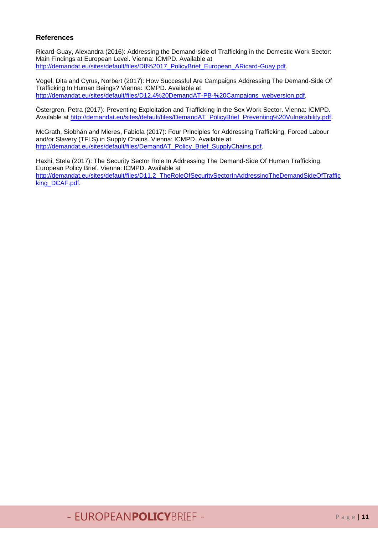#### **References**

Ricard-Guay, Alexandra (2016): Addressing the Demand-side of Trafficking in the Domestic Work Sector: Main Findings at European Level. Vienna: ICMPD. Available at [http://demandat.eu/sites/default/files/D8%2017\\_PolicyBrief\\_European\\_ARicard-Guay.pdf.](http://demandat.eu/sites/default/files/D8%2017_PolicyBrief_European_ARicard-Guay.pdf)

Vogel, Dita and Cyrus, Norbert (2017): How Successful Are Campaigns Addressing The Demand-Side Of Trafficking In Human Beings? Vienna: ICMPD. Available at [http://demandat.eu/sites/default/files/D12.4%20DemandAT-PB-%20Campaigns\\_webversion.pdf.](http://demandat.eu/sites/default/files/D12.4%20DemandAT-PB-%20Campaigns_webversion.pdf)

Östergren, Petra (2017): Preventing Exploitation and Trafficking in the Sex Work Sector. Vienna: ICMPD. Available at [http://demandat.eu/sites/default/files/DemandAT\\_PolicyBrief\\_Preventing%20Vulnerability.pdf.](http://demandat.eu/sites/default/files/DemandAT_PolicyBrief_Preventing%20Vulnerability.pdf)

McGrath, Siobhán and Mieres, Fabiola (2017): Four Principles for Addressing Trafficking, Forced Labour and/or Slavery (TFLS) in Supply Chains. Vienna: ICMPD. Available at [http://demandat.eu/sites/default/files/DemandAT\\_Policy\\_Brief\\_SupplyChains.pdf.](http://demandat.eu/sites/default/files/DemandAT_Policy_Brief_SupplyChains.pdf)

Haxhi, Stela (2017): The Security Sector Role In Addressing The Demand-Side Of Human Trafficking. European Policy Brief. Vienna: ICMPD. Available at [http://demandat.eu/sites/default/files/D11.2\\_TheRoleOfSecuritySectorInAddressingTheDemandSideOfTraffic](http://demandat.eu/sites/default/files/D11.2_TheRoleOfSecuritySectorInAddressingTheDemandSideOfTrafficking_DCAF.pdf) [king\\_DCAF.pdf.](http://demandat.eu/sites/default/files/D11.2_TheRoleOfSecuritySectorInAddressingTheDemandSideOfTrafficking_DCAF.pdf)